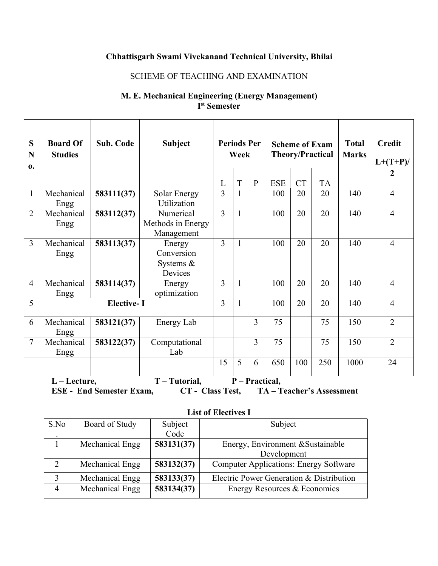# **Chhattisgarh Swami Vivekanand Technical University, Bhilai**

#### SCHEME OF TEACHING AND EXAMINATION

## **M. E. Mechanical Engineering (Energy Management) I st Semester**

| S<br>N<br>$\mathbf{0}$ . | <b>Board Of</b><br><b>Studies</b> | <b>Sub. Code</b>  | <b>Subject</b>                                  |                     | Week           | <b>Periods Per</b> |                   | <b>Scheme of Exam</b> | <b>Theory/Practical</b> | <b>Total</b><br><b>Marks</b> | <b>Credit</b><br>$L+(T+P)/$ |
|--------------------------|-----------------------------------|-------------------|-------------------------------------------------|---------------------|----------------|--------------------|-------------------|-----------------------|-------------------------|------------------------------|-----------------------------|
|                          |                                   |                   |                                                 |                     |                |                    |                   |                       |                         |                              | $\boldsymbol{2}$            |
| $\mathbf{1}$             | Mechanical                        | 583111(37)        | Solar Energy                                    | L<br>$\overline{3}$ | $\overline{T}$ | ${\bf P}$          | <b>ESE</b><br>100 | <b>CT</b><br>20       | <b>TA</b><br>20         | 140                          | $\overline{4}$              |
|                          | Engg                              |                   | Utilization                                     |                     |                |                    |                   |                       |                         |                              |                             |
| $\overline{2}$           | Mechanical<br>Engg                | 583112(37)        | Numerical<br>Methods in Energy<br>Management    | $\overline{3}$      |                |                    | 100               | 20                    | 20                      | 140                          | $\overline{4}$              |
| 3                        | Mechanical<br>Engg                | 583113(37)        | Energy<br>Conversion<br>Systems $\&$<br>Devices | $\overline{3}$      |                |                    | 100               | 20                    | 20                      | 140                          | $\overline{4}$              |
| 4                        | Mechanical<br>Engg                | 583114(37)        | Energy<br>optimization                          | $\overline{3}$      |                |                    | 100               | 20                    | 20                      | 140                          | $\overline{4}$              |
| 5                        |                                   | <b>Elective-I</b> |                                                 | 3                   |                |                    | 100               | 20                    | 20                      | 140                          | $\overline{4}$              |
| 6                        | Mechanical<br>Engg                | 583121(37)        | <b>Energy Lab</b>                               |                     |                | 3                  | 75                |                       | 75                      | 150                          | $\overline{2}$              |
| $\overline{7}$           | Mechanical<br>Engg                | 583122(37)        | Computational<br>Lab                            |                     |                | 3                  | 75                |                       | 75                      | 150                          | $\overline{2}$              |
|                          |                                   |                   |                                                 | 15                  | 5              | 6                  | 650               | 100                   | 250                     | 1000                         | 24                          |
|                          | $L$ – Lecture,                    |                   | T - Tutorial,                                   |                     |                | P - Practical,     |                   |                       |                         |                              |                             |

**ESE - End Semester Exam, CT - Class Test, TA – Teacher's Assessment**

| <b>List of Electives I</b> |  |
|----------------------------|--|
|----------------------------|--|

| S.No    | Board of Study                | Subject    | Subject                                       |  |  |  |  |  |
|---------|-------------------------------|------------|-----------------------------------------------|--|--|--|--|--|
| $\cdot$ |                               | Code       |                                               |  |  |  |  |  |
|         | 583131(37)<br>Mechanical Engg |            | Energy, Environment & Sustainable             |  |  |  |  |  |
|         |                               |            | Development                                   |  |  |  |  |  |
|         | Mechanical Engg               | 583132(37) | <b>Computer Applications: Energy Software</b> |  |  |  |  |  |
|         | Mechanical Engg               | 583133(37) | Electric Power Generation & Distribution      |  |  |  |  |  |
| 4       | Mechanical Engg               | 583134(37) | Energy Resources & Economics                  |  |  |  |  |  |
|         |                               |            |                                               |  |  |  |  |  |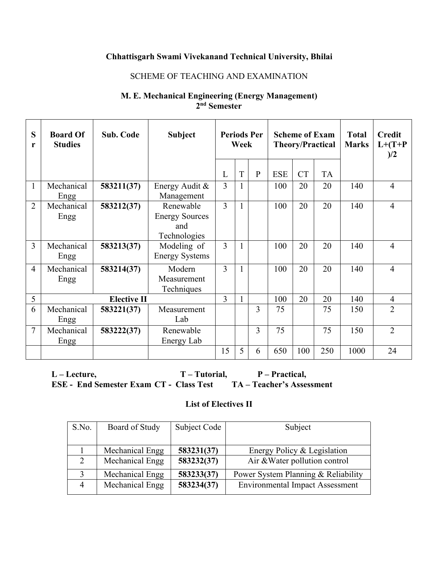## **Chhattisgarh Swami Vivekanand Technical University, Bhilai**

#### SCHEME OF TEACHING AND EXAMINATION

## **M. E. Mechanical Engineering (Energy Management) 2 nd Semester**

| S<br>r         | <b>Board Of</b><br><b>Studies</b> | Sub. Code          | <b>Subject</b>                                            |                          | <b>Periods Per</b><br>Week |              | <b>Scheme of Exam</b><br><b>Theory/Practical</b> |           |           | <b>Total</b><br><b>Marks</b> | <b>Credit</b><br>$L+ (T+P)$<br>)/2 |  |
|----------------|-----------------------------------|--------------------|-----------------------------------------------------------|--------------------------|----------------------------|--------------|--------------------------------------------------|-----------|-----------|------------------------------|------------------------------------|--|
|                |                                   |                    |                                                           | L                        | T                          | $\mathbf{P}$ | <b>ESE</b>                                       | <b>CT</b> | <b>TA</b> |                              |                                    |  |
|                | Mechanical<br>Engg                | 583211(37)         | Energy Audit $&$<br>Management                            | $\overline{3}$           |                            |              | 100                                              | 20        | 20        | 140                          | $\overline{4}$                     |  |
| $\overline{2}$ | Mechanical<br>Engg                | 583212(37)         | Renewable<br><b>Energy Sources</b><br>and<br>Technologies | $\overline{\mathcal{E}}$ |                            |              | 100                                              | 20        | 20        | 140                          | $\overline{4}$                     |  |
| 3              | Mechanical<br>Engg                | 583213(37)         | Modeling of<br><b>Energy Systems</b>                      | 3                        |                            |              | 100                                              | 20        | 20        | 140                          | $\overline{4}$                     |  |
| $\overline{4}$ | Mechanical<br>Engg                | 583214(37)         | Modern<br>Measurement<br>Techniques                       | 3                        |                            |              | 100                                              | 20        | 20        | 140                          | $\overline{4}$                     |  |
| 5              |                                   | <b>Elective II</b> |                                                           | 3                        |                            |              | 100                                              | 20        | 20        | 140                          | $\overline{4}$                     |  |
| 6              | Mechanical<br>Engg                | 583221(37)         | Measurement<br>Lab                                        |                          |                            | 3            | 75                                               |           | 75        | 150                          | $\overline{2}$                     |  |
| 7              | Mechanical<br>Engg                | 583222(37)         | Renewable<br>Energy Lab                                   |                          |                            | 3            | 75                                               |           | 75        | 150                          | $\overline{2}$                     |  |
|                |                                   |                    |                                                           | 15                       | 5                          | 6            | 650                                              | 100       | 250       | 1000                         | 24                                 |  |

**L – Lecture, T – Tutorial, P – Practical, ESE - End Semester Exam** CT **- Class** Test

#### **List of Electives II**

| S.No.          | Board of Study  | Subject Code | Subject                                |  |  |  |  |  |
|----------------|-----------------|--------------|----------------------------------------|--|--|--|--|--|
|                |                 |              |                                        |  |  |  |  |  |
|                | Mechanical Engg | 583231(37)   | Energy Policy & Legislation            |  |  |  |  |  |
|                | Mechanical Engg | 583232(37)   | Air & Water pollution control          |  |  |  |  |  |
|                | Mechanical Engg | 583233(37)   | Power System Planning & Reliability    |  |  |  |  |  |
| $\overline{4}$ | Mechanical Engg | 583234(37)   | <b>Environmental Impact Assessment</b> |  |  |  |  |  |
|                |                 |              |                                        |  |  |  |  |  |